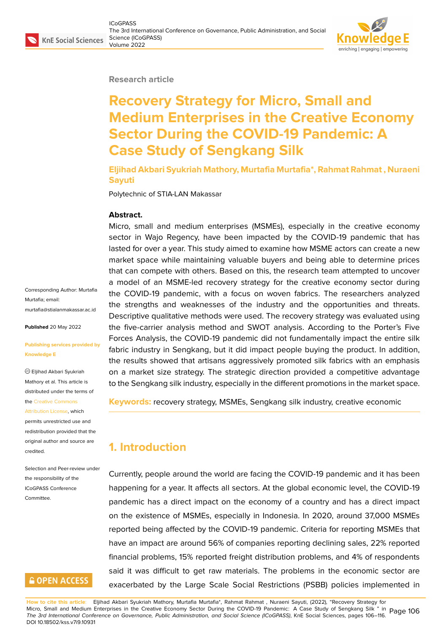### **Research article**

# **Recovery Strategy for Micro, Small and Medium Enterprises in the Creative Economy Sector During the COVID-19 Pandemic: A Case Study of Sengkang Silk**

**Eljihad Akbari Syukriah Mathory, Murtafia Murtafia\*, Rahmat Rahmat , Nuraeni Sayuti**

Polytechnic of STIA-LAN Makassar

### **Abstract.**

Micro, small and medium enterprises (MSMEs), especially in the creative economy sector in Wajo Regency, have been impacted by the COVID-19 pandemic that has lasted for over a year. This study aimed to examine how MSME actors can create a new market space while maintaining valuable buyers and being able to determine prices that can compete with others. Based on this, the research team attempted to uncover a model of an MSME-led recovery strategy for the creative economy sector during the COVID-19 pandemic, with a focus on woven fabrics. The researchers analyzed the strengths and weaknesses of the industry and the opportunities and threats. Descriptive qualitative methods were used. The recovery strategy was evaluated using the five-carrier analysis method and SWOT analysis. According to the Porter's Five Forces Analysis, the COVID-19 pandemic did not fundamentally impact the entire silk fabric industry in Sengkang, but it did impact people buying the product. In addition, the results showed that artisans aggressively promoted silk fabrics with an emphasis on a market size strategy. The strategic direction provided a competitive advantage to the Sengkang silk industry, especially in the different promotions in the market space.

**Keywords:** recovery strategy, MSMEs, Sengkang silk industry, creative economic

# **1. Introduction**

Currently, people around the world are facing the COVID-19 pandemic and it has been happening for a year. It affects all sectors. At the global economic level, the COVID-19 pandemic has a direct impact on the economy of a country and has a direct impact on the existence of MSMEs, especially in Indonesia. In 2020, around 37,000 MSMEs reported being affected by the COVID-19 pandemic. Criteria for reporting MSMEs that have an impact are around 56% of companies reporting declining sales, 22% reported financial problems, 15% reported freight distribution problems, and 4% of respondents said it was difficult to get raw materials. The problems in the economic sector are exacerbated by the Large Scale Social Restrictions (PSBB) policies implemented in

Corresponding Author: Murtafia Murtafia; email: murtafia@stialanmakassar.ac.id

**Published** 20 May 2022

#### **[Publishing services provided b](mailto:murtafia@stialanmakassar.ac.id)y Knowledge E**

Eljihad Akbari Syukriah Mathory et al. This article is distributed under the terms of the Creative Commons

Attribution License, which permits unrestricted use and redistribution provided that the orig[inal author and sou](https://creativecommons.org/licenses/by/4.0/)rce are [credited.](https://creativecommons.org/licenses/by/4.0/)

Selection and Peer-review under the responsibility of the ICoGPASS Conference Committee.

# **GOPEN ACCESS**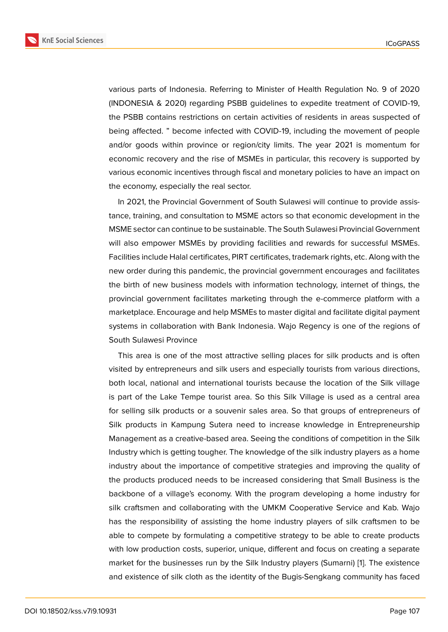various parts of Indonesia. Referring to Minister of Health Regulation No. 9 of 2020 (INDONESIA & 2020) regarding PSBB guidelines to expedite treatment of COVID-19, the PSBB contains restrictions on certain activities of residents in areas suspected of being affected. " become infected with COVID-19, including the movement of people and/or goods within province or region/city limits. The year 2021 is momentum for economic recovery and the rise of MSMEs in particular, this recovery is supported by various economic incentives through fiscal and monetary policies to have an impact on the economy, especially the real sector.

In 2021, the Provincial Government of South Sulawesi will continue to provide assistance, training, and consultation to MSME actors so that economic development in the MSME sector can continue to be sustainable. The South Sulawesi Provincial Government will also empower MSMEs by providing facilities and rewards for successful MSMEs. Facilities include Halal certificates, PIRT certificates, trademark rights, etc. Along with the new order during this pandemic, the provincial government encourages and facilitates the birth of new business models with information technology, internet of things, the provincial government facilitates marketing through the e-commerce platform with a marketplace. Encourage and help MSMEs to master digital and facilitate digital payment systems in collaboration with Bank Indonesia. Wajo Regency is one of the regions of South Sulawesi Province

This area is one of the most attractive selling places for silk products and is often visited by entrepreneurs and silk users and especially tourists from various directions, both local, national and international tourists because the location of the Silk village is part of the Lake Tempe tourist area. So this Silk Village is used as a central area for selling silk products or a souvenir sales area. So that groups of entrepreneurs of Silk products in Kampung Sutera need to increase knowledge in Entrepreneurship Management as a creative-based area. Seeing the conditions of competition in the Silk Industry which is getting tougher. The knowledge of the silk industry players as a home industry about the importance of competitive strategies and improving the quality of the products produced needs to be increased considering that Small Business is the backbone of a village's economy. With the program developing a home industry for silk craftsmen and collaborating with the UMKM Cooperative Service and Kab. Wajo has the responsibility of assisting the home industry players of silk craftsmen to be able to compete by formulating a competitive strategy to be able to create products with low production costs, superior, unique, different and focus on creating a separate market for the businesses run by the Silk Industry players (Sumarni) [1]. The existence and existence of silk cloth as the identity of the Bugis-Sengkang community has faced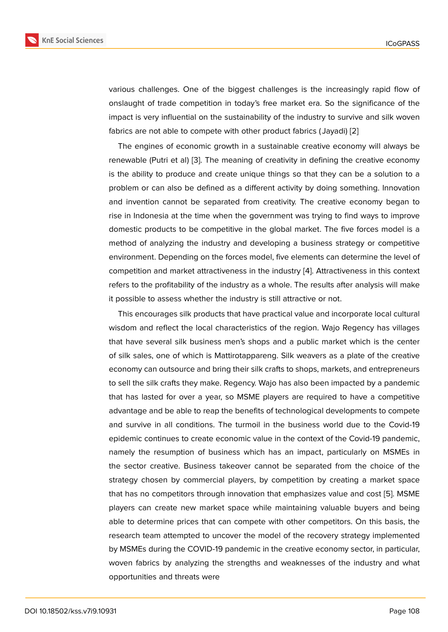various challenges. One of the biggest challenges is the increasingly rapid flow of onslaught of trade competition in today's free market era. So the significance of the impact is very influential on the sustainability of the industry to survive and silk woven fabrics are not able to compete with other product fabrics ( Jayadi) [2]

The engines of economic growth in a sustainable creative economy will always be renewable (Putri et al) [3]. The meaning of creativity in defining the creative economy is the ability to produce and create unique things so that they ca[n b](#page-9-0)e a solution to a problem or can also be defined as a different activity by doing something. Innovation and invention cannot [be](#page-9-1) separated from creativity. The creative economy began to rise in Indonesia at the time when the government was trying to find ways to improve domestic products to be competitive in the global market. The five forces model is a method of analyzing the industry and developing a business strategy or competitive environment. Depending on the forces model, five elements can determine the level of competition and market attractiveness in the industry [4]. Attractiveness in this context refers to the profitability of the industry as a whole. The results after analysis will make it possible to assess whether the industry is still attractive or not.

This encourages silk products that have practical val[ue](#page-9-2) and incorporate local cultural wisdom and reflect the local characteristics of the region. Wajo Regency has villages that have several silk business men's shops and a public market which is the center of silk sales, one of which is Mattirotappareng. Silk weavers as a plate of the creative economy can outsource and bring their silk crafts to shops, markets, and entrepreneurs to sell the silk crafts they make. Regency. Wajo has also been impacted by a pandemic that has lasted for over a year, so MSME players are required to have a competitive advantage and be able to reap the benefits of technological developments to compete and survive in all conditions. The turmoil in the business world due to the Covid-19 epidemic continues to create economic value in the context of the Covid-19 pandemic, namely the resumption of business which has an impact, particularly on MSMEs in the sector creative. Business takeover cannot be separated from the choice of the strategy chosen by commercial players, by competition by creating a market space that has no competitors through innovation that emphasizes value and cost [5]. MSME players can create new market space while maintaining valuable buyers and being able to determine prices that can compete with other competitors. On this basis, the research team attempted to uncover the model of the recovery strategy im[ple](#page-9-3)mented by MSMEs during the COVID-19 pandemic in the creative economy sector, in particular, woven fabrics by analyzing the strengths and weaknesses of the industry and what opportunities and threats were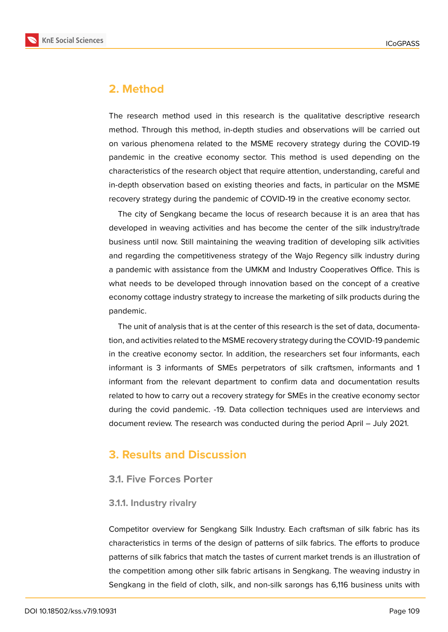

# **2. Method**

The research method used in this research is the qualitative descriptive research method. Through this method, in-depth studies and observations will be carried out on various phenomena related to the MSME recovery strategy during the COVID-19 pandemic in the creative economy sector. This method is used depending on the characteristics of the research object that require attention, understanding, careful and in-depth observation based on existing theories and facts, in particular on the MSME recovery strategy during the pandemic of COVID-19 in the creative economy sector.

The city of Sengkang became the locus of research because it is an area that has developed in weaving activities and has become the center of the silk industry/trade business until now. Still maintaining the weaving tradition of developing silk activities and regarding the competitiveness strategy of the Wajo Regency silk industry during a pandemic with assistance from the UMKM and Industry Cooperatives Office. This is what needs to be developed through innovation based on the concept of a creative economy cottage industry strategy to increase the marketing of silk products during the pandemic.

The unit of analysis that is at the center of this research is the set of data, documentation, and activities related to the MSME recovery strategy during the COVID-19 pandemic in the creative economy sector. In addition, the researchers set four informants, each informant is 3 informants of SMEs perpetrators of silk craftsmen, informants and 1 informant from the relevant department to confirm data and documentation results related to how to carry out a recovery strategy for SMEs in the creative economy sector during the covid pandemic. -19. Data collection techniques used are interviews and document review. The research was conducted during the period April – July 2021.

# **3. Results and Discussion**

### **3.1. Five Forces Porter**

### **3.1.1. Industry rivalry**

Competitor overview for Sengkang Silk Industry. Each craftsman of silk fabric has its characteristics in terms of the design of patterns of silk fabrics. The efforts to produce patterns of silk fabrics that match the tastes of current market trends is an illustration of the competition among other silk fabric artisans in Sengkang. The weaving industry in Sengkang in the field of cloth, silk, and non-silk sarongs has 6,116 business units with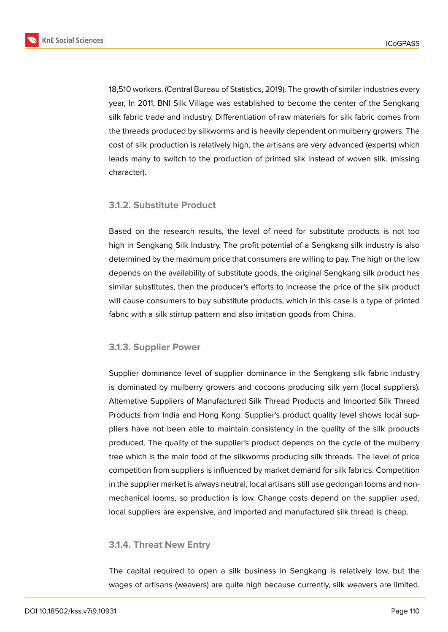

18,510 workers. (Central Bureau of Statistics, 2019). The growth of similar industries every year, In 2011, BNI Silk Village was established to become the center of the Sengkang silk fabric trade and industry. Differentiation of raw materials for silk fabric comes from the threads produced by silkworms and is heavily dependent on mulberry growers. The cost of silk production is relatively high, the artisans are very advanced (experts) which leads many to switch to the production of printed silk instead of woven silk. (missing character).

### **3.1.2. Substitute Product**

Based on the research results, the level of need for substitute products is not too high in Sengkang Silk Industry. The profit potential of a Sengkang silk industry is also determined by the maximum price that consumers are willing to pay. The high or the low depends on the availability of substitute goods, the original Sengkang silk product has similar substitutes, then the producer's efforts to increase the price of the silk product will cause consumers to buy substitute products, which in this case is a type of printed fabric with a silk stirrup pattern and also imitation goods from China.

### **3.1.3. Supplier Power**

Supplier dominance level of supplier dominance in the Sengkang silk fabric industry is dominated by mulberry growers and cocoons producing silk yarn (local suppliers). Alternative Suppliers of Manufactured Silk Thread Products and Imported Silk Thread Products from India and Hong Kong. Supplier's product quality level shows local suppliers have not been able to maintain consistency in the quality of the silk products produced. The quality of the supplier's product depends on the cycle of the mulberry tree which is the main food of the silkworms producing silk threads. The level of price competition from suppliers is influenced by market demand for silk fabrics. Competition in the supplier market is always neutral, local artisans still use gedongan looms and nonmechanical looms, so production is low. Change costs depend on the supplier used, local suppliers are expensive, and imported and manufactured silk thread is cheap.

### **3.1.4. Threat New Entry**

The capital required to open a silk business in Sengkang is relatively low, but the wages of artisans (weavers) are quite high because currently, silk weavers are limited.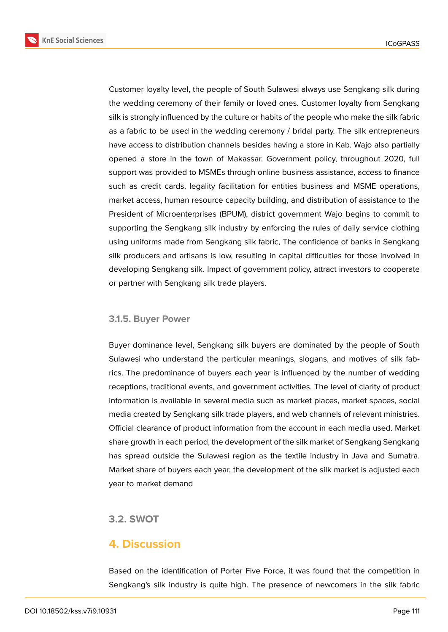**KnE Social Sciences** 



Customer loyalty level, the people of South Sulawesi always use Sengkang silk during the wedding ceremony of their family or loved ones. Customer loyalty from Sengkang silk is strongly influenced by the culture or habits of the people who make the silk fabric as a fabric to be used in the wedding ceremony / bridal party. The silk entrepreneurs have access to distribution channels besides having a store in Kab. Wajo also partially opened a store in the town of Makassar. Government policy, throughout 2020, full support was provided to MSMEs through online business assistance, access to finance such as credit cards, legality facilitation for entities business and MSME operations, market access, human resource capacity building, and distribution of assistance to the President of Microenterprises (BPUM), district government Wajo begins to commit to supporting the Sengkang silk industry by enforcing the rules of daily service clothing using uniforms made from Sengkang silk fabric, The confidence of banks in Sengkang silk producers and artisans is low, resulting in capital difficulties for those involved in developing Sengkang silk. Impact of government policy, attract investors to cooperate or partner with Sengkang silk trade players.

#### **3.1.5. Buyer Power**

Buyer dominance level, Sengkang silk buyers are dominated by the people of South Sulawesi who understand the particular meanings, slogans, and motives of silk fabrics. The predominance of buyers each year is influenced by the number of wedding receptions, traditional events, and government activities. The level of clarity of product information is available in several media such as market places, market spaces, social media created by Sengkang silk trade players, and web channels of relevant ministries. Official clearance of product information from the account in each media used. Market share growth in each period, the development of the silk market of Sengkang Sengkang has spread outside the Sulawesi region as the textile industry in Java and Sumatra. Market share of buyers each year, the development of the silk market is adjusted each year to market demand

### **3.2. SWOT**

### **4. Discussion**

Based on the identification of Porter Five Force, it was found that the competition in Sengkang's silk industry is quite high. The presence of newcomers in the silk fabric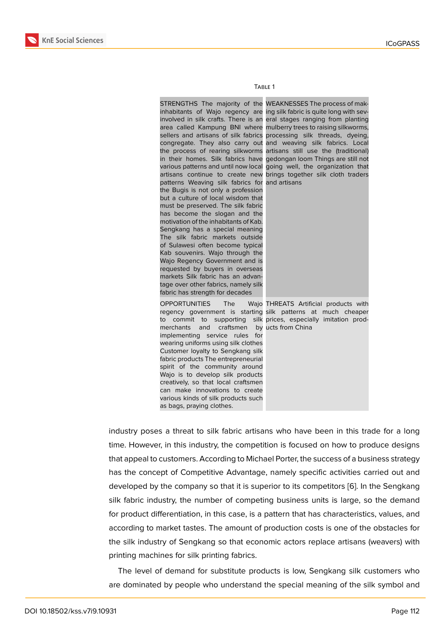| STRENGTHS The majority of the<br>inhabitants of Wajo regency are<br>involved in silk crafts. There is an<br>area called Kampung BNI where<br>sellers and artisans of silk fabrics<br>congregate. They also carry out<br>the process of rearing silkworms<br>in their homes. Silk fabrics have<br>various patterns and until now local<br>artisans continue to create new<br>patterns Weaving silk fabrics for<br>the Bugis is not only a profession<br>but a culture of local wisdom that<br>must be preserved. The silk fabric<br>has become the slogan and the<br>motivation of the inhabitants of Kab.<br>Sengkang has a special meaning<br>The silk fabric markets outside<br>of Sulawesi often become typical<br>Kab souvenirs. Wajo through the<br>Wajo Regency Government and is<br>requested by buyers in overseas<br>markets Silk fabric has an advan-<br>tage over other fabrics, namely silk<br>fabric has strength for decades | WEAKNESSES The process of mak-<br>ing silk fabric is quite long with sev-<br>eral stages ranging from planting<br>mulberry trees to raising silkworms,<br>processing silk threads, dyeing,<br>and weaving silk fabrics. Local<br>artisans still use the (traditional)<br>gedongan loom Things are still not<br>going well, the organization that<br>brings together silk cloth traders<br>and artisans |
|--------------------------------------------------------------------------------------------------------------------------------------------------------------------------------------------------------------------------------------------------------------------------------------------------------------------------------------------------------------------------------------------------------------------------------------------------------------------------------------------------------------------------------------------------------------------------------------------------------------------------------------------------------------------------------------------------------------------------------------------------------------------------------------------------------------------------------------------------------------------------------------------------------------------------------------------|--------------------------------------------------------------------------------------------------------------------------------------------------------------------------------------------------------------------------------------------------------------------------------------------------------------------------------------------------------------------------------------------------------|
| <b>OPPORTUNITIES</b><br>The<br>regency government is starting silk patterns at<br>to<br>commit<br>to<br>supporting<br>craftsmen<br>merchants<br>and<br>implementing<br>service rules<br>for<br>wearing uniforms using silk clothes<br>Customer loyalty to Sengkang silk<br>fabric products The entrepreneurial<br>spirit of the community around<br>Wajo is to develop silk products<br>creatively, so that local craftsmen<br>can make innovations to create<br>various kinds of silk products such<br>as bags, praying clothes.                                                                                                                                                                                                                                                                                                                                                                                                          | Wajo THREATS Artificial products with<br>much cheaper<br>silk prices, especially imitation prod-<br>by ucts from China                                                                                                                                                                                                                                                                                 |

Table 1

industry poses a threat to silk fabric artisans who have been in this trade for a long time. However, in this industry, the competition is focused on how to produce designs that appeal to customers. According to Michael Porter, the success of a business strategy has the concept of Competitive Advantage, namely specific activities carried out and developed by the company so that it is superior to its competitors [6]. In the Sengkang silk fabric industry, the number of competing business units is large, so the demand for product differentiation, in this case, is a pattern that has characteristics, values, and according to market tastes. The amount of production costs is one [o](#page-9-4)f the obstacles for the silk industry of Sengkang so that economic actors replace artisans (weavers) with printing machines for silk printing fabrics.

The level of demand for substitute products is low, Sengkang silk customers who are dominated by people who understand the special meaning of the silk symbol and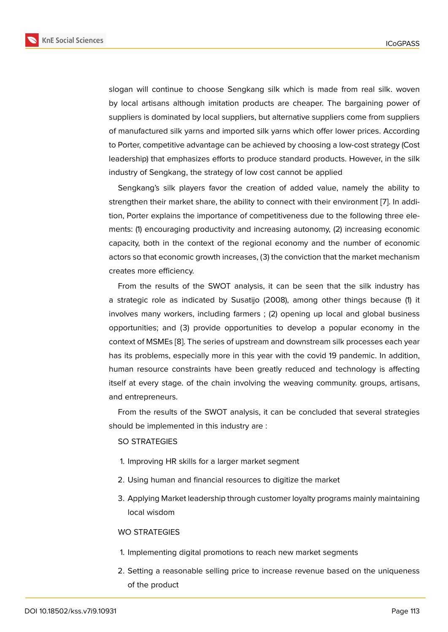slogan will continue to choose Sengkang silk which is made from real silk. woven by local artisans although imitation products are cheaper. The bargaining power of suppliers is dominated by local suppliers, but alternative suppliers come from suppliers of manufactured silk yarns and imported silk yarns which offer lower prices. According to Porter, competitive advantage can be achieved by choosing a low-cost strategy (Cost leadership) that emphasizes efforts to produce standard products. However, in the silk industry of Sengkang, the strategy of low cost cannot be applied

Sengkang's silk players favor the creation of added value, namely the ability to strengthen their market share, the ability to connect with their environment [7]. In addition, Porter explains the importance of competitiveness due to the following three elements: (1) encouraging productivity and increasing autonomy, (2) increasing economic capacity, both in the context of the regional economy and the number of [e](#page-9-5)conomic actors so that economic growth increases, (3) the conviction that the market mechanism creates more efficiency.

From the results of the SWOT analysis, it can be seen that the silk industry has a strategic role as indicated by Susatijo (2008), among other things because (1) it involves many workers, including farmers ; (2) opening up local and global business opportunities; and (3) provide opportunities to develop a popular economy in the context of MSMEs [8]. The series of upstream and downstream silk processes each year has its problems, especially more in this year with the covid 19 pandemic. In addition, human resource constraints have been greatly reduced and technology is affecting itself at every sta[ge](#page-10-0). of the chain involving the weaving community. groups, artisans, and entrepreneurs.

From the results of the SWOT analysis, it can be concluded that several strategies should be implemented in this industry are :

#### SO STRATEGIES

- 1. Improving HR skills for a larger market segment
- 2. Using human and financial resources to digitize the market
- 3. Applying Market leadership through customer loyalty programs mainly maintaining local wisdom

#### WO STRATEGIES

- 1. Implementing digital promotions to reach new market segments
- 2. Setting a reasonable selling price to increase revenue based on the uniqueness of the product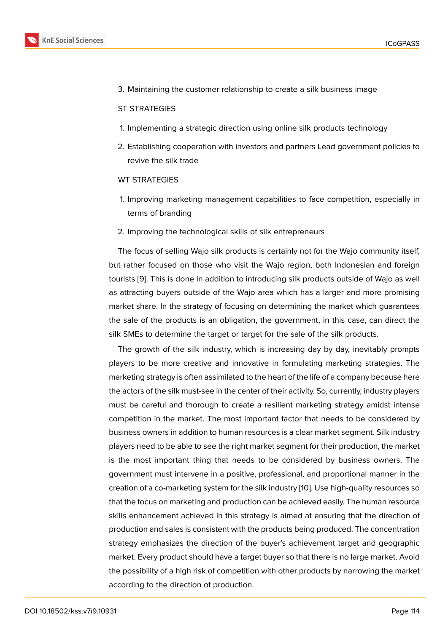3. Maintaining the customer relationship to create a silk business image

#### ST STRATEGIES

- 1. Implementing a strategic direction using online silk products technology
- 2. Establishing cooperation with investors and partners Lead government policies to revive the silk trade

#### WT STRATEGIES

- 1. Improving marketing management capabilities to face competition, especially in terms of branding
- 2. Improving the technological skills of silk entrepreneurs

The focus of selling Wajo silk products is certainly not for the Wajo community itself, but rather focused on those who visit the Wajo region, both Indonesian and foreign tourists [9]. This is done in addition to introducing silk products outside of Wajo as well as attracting buyers outside of the Wajo area which has a larger and more promising market share. In the strategy of focusing on determining the market which guarantees the sale [o](#page-10-1)f the products is an obligation, the government, in this case, can direct the silk SMEs to determine the target or target for the sale of the silk products.

The growth of the silk industry, which is increasing day by day, inevitably prompts players to be more creative and innovative in formulating marketing strategies. The marketing strategy is often assimilated to the heart of the life of a company because here the actors of the silk must-see in the center of their activity. So, currently, industry players must be careful and thorough to create a resilient marketing strategy amidst intense competition in the market. The most important factor that needs to be considered by business owners in addition to human resources is a clear market segment. Silk industry players need to be able to see the right market segment for their production, the market is the most important thing that needs to be considered by business owners. The government must intervene in a positive, professional, and proportional manner in the creation of a co-marketing system for the silk industry [10]. Use high-quality resources so that the focus on marketing and production can be achieved easily. The human resource skills enhancement achieved in this strategy is aimed at ensuring that the direction of production and sales is consistent with the products b[ein](#page-10-2)g produced. The concentration strategy emphasizes the direction of the buyer's achievement target and geographic market. Every product should have a target buyer so that there is no large market. Avoid the possibility of a high risk of competition with other products by narrowing the market according to the direction of production.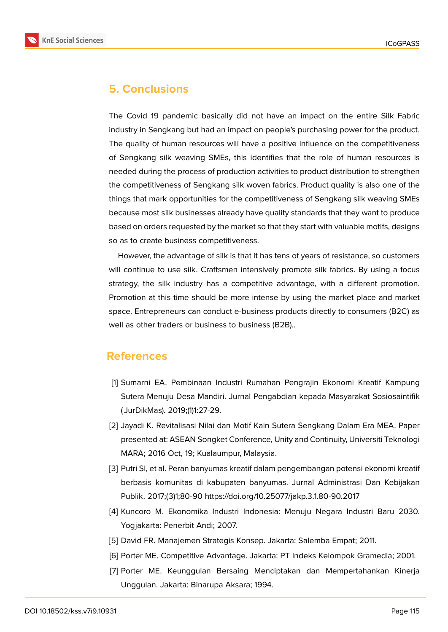

# **5. Conclusions**

The Covid 19 pandemic basically did not have an impact on the entire Silk Fabric industry in Sengkang but had an impact on people's purchasing power for the product. The quality of human resources will have a positive influence on the competitiveness of Sengkang silk weaving SMEs, this identifies that the role of human resources is needed during the process of production activities to product distribution to strengthen the competitiveness of Sengkang silk woven fabrics. Product quality is also one of the things that mark opportunities for the competitiveness of Sengkang silk weaving SMEs because most silk businesses already have quality standards that they want to produce based on orders requested by the market so that they start with valuable motifs, designs so as to create business competitiveness.

However, the advantage of silk is that it has tens of years of resistance, so customers will continue to use silk. Craftsmen intensively promote silk fabrics. By using a focus strategy, the silk industry has a competitive advantage, with a different promotion. Promotion at this time should be more intense by using the market place and market space. Entrepreneurs can conduct e-business products directly to consumers (B2C) as well as other traders or business to business (B2B)..

# **References**

- [1] Sumarni EA. Pembinaan Industri Rumahan Pengrajin Ekonomi Kreatif Kampung Sutera Menuju Desa Mandiri. Jurnal Pengabdian kepada Masyarakat Sosiosaintifik ( JurDikMas). 2019;(1)1:27-29.
- <span id="page-9-0"></span>[2] Jayadi K. Revitalisasi Nilai dan Motif Kain Sutera Sengkang Dalam Era MEA. Paper presented at: ASEAN Songket Conference, Unity and Continuity, Universiti Teknologi MARA; 2016 Oct, 19; Kualaumpur, Malaysia.
- <span id="page-9-1"></span>[3] Putri SI, et al. Peran banyumas kreatif dalam pengembangan potensi ekonomi kreatif berbasis komunitas di kabupaten banyumas. Jurnal Administrasi Dan Kebijakan Publik. 2017;(3)1;80-90 https://doi.org/10.25077/jakp.3.1.80-90.2017
- <span id="page-9-2"></span>[4] Kuncoro M. Ekonomika Industri Indonesia: Menuju Negara Industri Baru 2030. Yogjakarta: Penerbit Andi; 2007.
- <span id="page-9-3"></span>[5] David FR. Manajemen Strategis Konsep. Jakarta: Salemba Empat; 2011.
- <span id="page-9-4"></span>[6] Porter ME. Competitive Advantage. Jakarta: PT Indeks Kelompok Gramedia; 2001.
- <span id="page-9-5"></span>[7] Porter ME. Keunggulan Bersaing Menciptakan dan Mempertahankan Kinerja Unggulan. Jakarta: Binarupa Aksara; 1994.